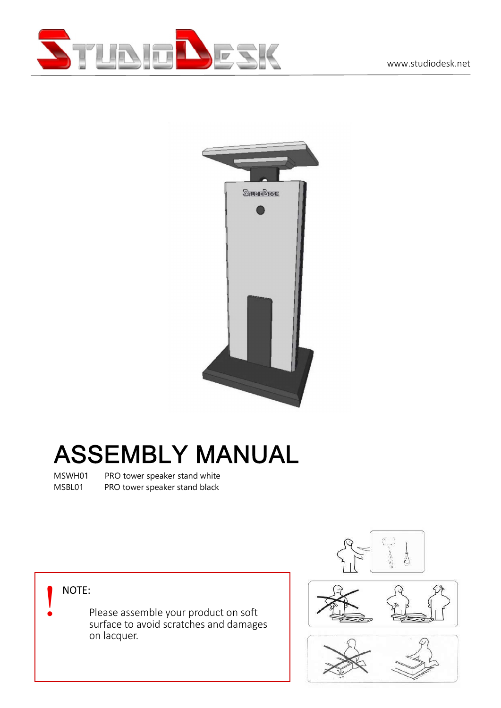



## **ASSEMBLY MANUAL**

MSWH01 PRO tower speaker stand white MSBL01 PRO tower speaker stand black

Please assemble your product on soft **Fig.** NOTE:<br>Please assemble your product on soft<br>surface to avoid scratches and damages on lacquer.





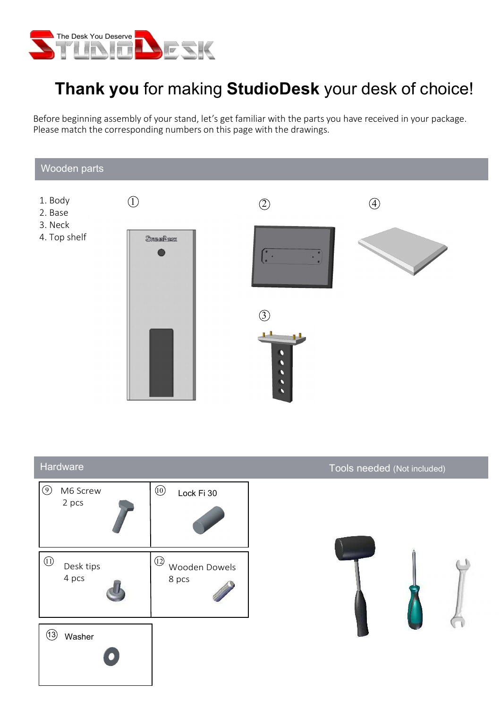

## Thank you for making StudioDesk your desk of choice!

Before beginning assembly of your stand, let's get familiar with the parts you have received in your package. Please match the corresponding numbers on this page with the drawings.



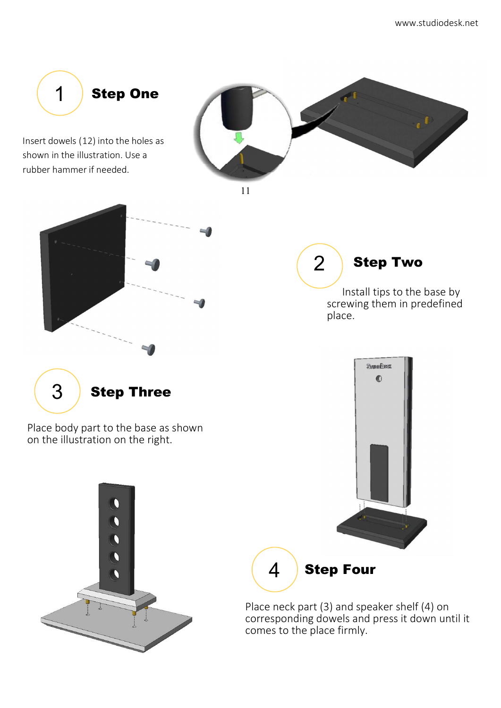